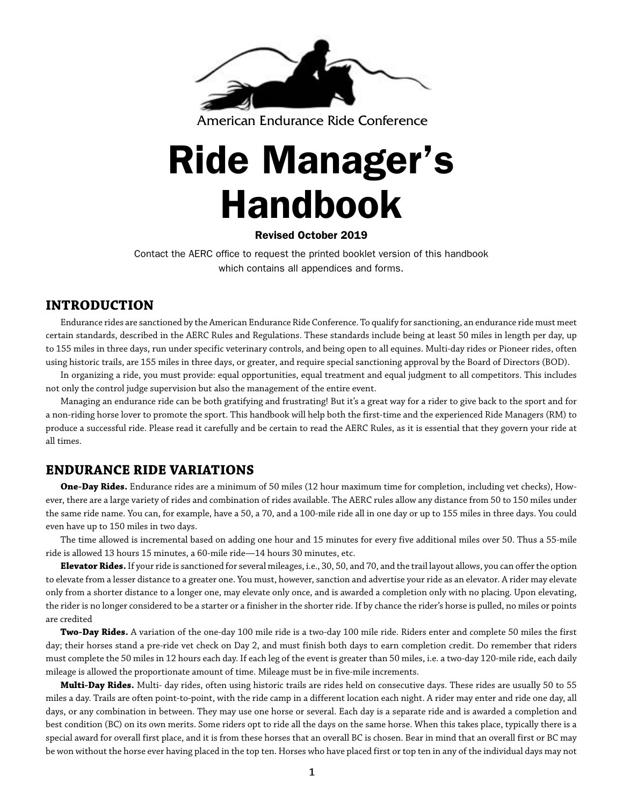

American Endurance Ride Conference

# Ride Manager's Handbook

## Revised October 2019

Contact the AERC office to request the printed booklet version of this handbook which contains all appendices and forms.

# **INTRODUCTION**

Endurance rides are sanctioned by the American Endurance Ride Conference. To qualify for sanctioning, an endurance ride must meet certain standards, described in the AERC Rules and Regulations. These standards include being at least 50 miles in length per day, up to 155 miles in three days, run under specific veterinary controls, and being open to all equines. Multi-day rides or Pioneer rides, often using historic trails, are 155 miles in three days, or greater, and require special sanctioning approval by the Board of Directors (BOD).

In organizing a ride, you must provide: equal opportunities, equal treatment and equal judgment to all competitors. This includes not only the control judge supervision but also the management of the entire event.

Managing an endurance ride can be both gratifying and frustrating! But it's a great way for a rider to give back to the sport and for a non-riding horse lover to promote the sport. This handbook will help both the first-time and the experienced Ride Managers (RM) to produce a successful ride. Please read it carefully and be certain to read the AERC Rules, as it is essential that they govern your ride at all times.

# **ENDURANCE RIDE VARIATIONS**

**One-Day Rides.** Endurance rides are a minimum of 50 miles (12 hour maximum time for completion, including vet checks), However, there are a large variety of rides and combination of rides available. The AERC rules allow any distance from 50 to 150 miles under the same ride name. You can, for example, have a 50, a 70, and a 100-mile ride all in one day or up to 155 miles in three days. You could even have up to 150 miles in two days.

The time allowed is incremental based on adding one hour and 15 minutes for every five additional miles over 50. Thus a 55-mile ride is allowed 13 hours 15 minutes, a 60-mile ride—14 hours 30 minutes, etc.

**Elevator Rides.** If your ride is sanctioned for several mileages, i.e., 30, 50, and 70, and the trail layout allows, you can offer the option to elevate from a lesser distance to a greater one. You must, however, sanction and advertise your ride as an elevator. A rider may elevate only from a shorter distance to a longer one, may elevate only once, and is awarded a completion only with no placing. Upon elevating, the rider is no longer considered to be a starter or a finisher in the shorter ride. If by chance the rider's horse is pulled, no miles or points are credited

**Two-Day Rides.** A variation of the one-day 100 mile ride is a two-day 100 mile ride. Riders enter and complete 50 miles the first day; their horses stand a pre-ride vet check on Day 2, and must finish both days to earn completion credit. Do remember that riders must complete the 50 miles in 12 hours each day. If each leg of the event is greater than 50 miles, i.e. a two-day 120-mile ride, each daily mileage is allowed the proportionate amount of time. Mileage must be in five-mile increments.

**Multi-Day Rides.** Multi- day rides, often using historic trails are rides held on consecutive days. These rides are usually 50 to 55 miles a day. Trails are often point-to-point, with the ride camp in a different location each night. A rider may enter and ride one day, all days, or any combination in between. They may use one horse or several. Each day is a separate ride and is awarded a completion and best condition (BC) on its own merits. Some riders opt to ride all the days on the same horse. When this takes place, typically there is a special award for overall first place, and it is from these horses that an overall BC is chosen. Bear in mind that an overall first or BC may be won without the horse ever having placed in the top ten. Horses who have placed first or top ten in any of the individual days may not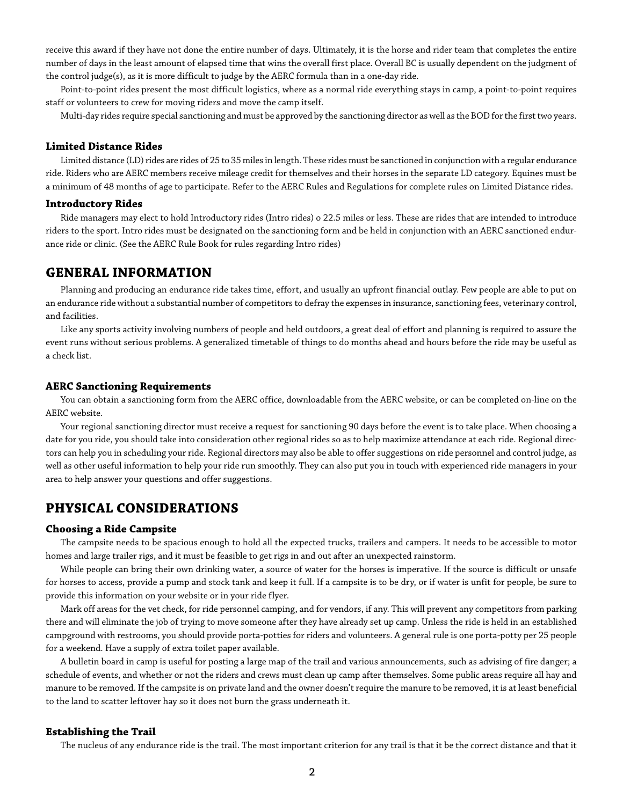receive this award if they have not done the entire number of days. Ultimately, it is the horse and rider team that completes the entire number of days in the least amount of elapsed time that wins the overall first place. Overall BC is usually dependent on the judgment of the control judge(s), as it is more difficult to judge by the AERC formula than in a one-day ride.

Point-to-point rides present the most difficult logistics, where as a normal ride everything stays in camp, a point-to-point requires staff or volunteers to crew for moving riders and move the camp itself.

Multi-day rides require special sanctioning and must be approved by the sanctioning director as well as the BOD for the first two years.

## **Limited Distance Rides**

Limited distance (LD) rides are rides of 25 to 35 miles in length. These rides must be sanctioned in conjunction with a regular endurance ride. Riders who are AERC members receive mileage credit for themselves and their horses in the separate LD category. Equines must be a minimum of 48 months of age to participate. Refer to the AERC Rules and Regulations for complete rules on Limited Distance rides.

## **Introductory Rides**

Ride managers may elect to hold Introductory rides (Intro rides) o 22.5 miles or less. These are rides that are intended to introduce riders to the sport. Intro rides must be designated on the sanctioning form and be held in conjunction with an AERC sanctioned endurance ride or clinic. (See the AERC Rule Book for rules regarding Intro rides)

## **GENERAL INFORMATION**

Planning and producing an endurance ride takes time, effort, and usually an upfront financial outlay. Few people are able to put on an endurance ride without a substantial number of competitors to defray the expenses in insurance, sanctioning fees, veterinary control, and facilities.

Like any sports activity involving numbers of people and held outdoors, a great deal of effort and planning is required to assure the event runs without serious problems. A generalized timetable of things to do months ahead and hours before the ride may be useful as a check list.

## **AERC Sanctioning Requirements**

You can obtain a sanctioning form from the AERC office, downloadable from the AERC website, or can be completed on-line on the AERC website.

Your regional sanctioning director must receive a request for sanctioning 90 days before the event is to take place. When choosing a date for you ride, you should take into consideration other regional rides so as to help maximize attendance at each ride. Regional directors can help you in scheduling your ride. Regional directors may also be able to offer suggestions on ride personnel and control judge, as well as other useful information to help your ride run smoothly. They can also put you in touch with experienced ride managers in your area to help answer your questions and offer suggestions.

## **PHYSICAL CONSIDERATIONS**

## **Choosing a Ride Campsite**

The campsite needs to be spacious enough to hold all the expected trucks, trailers and campers. It needs to be accessible to motor homes and large trailer rigs, and it must be feasible to get rigs in and out after an unexpected rainstorm.

While people can bring their own drinking water, a source of water for the horses is imperative. If the source is difficult or unsafe for horses to access, provide a pump and stock tank and keep it full. If a campsite is to be dry, or if water is unfit for people, be sure to provide this information on your website or in your ride flyer.

Mark off areas for the vet check, for ride personnel camping, and for vendors, if any. This will prevent any competitors from parking there and will eliminate the job of trying to move someone after they have already set up camp. Unless the ride is held in an established campground with restrooms, you should provide porta-potties for riders and volunteers. A general rule is one porta-potty per 25 people for a weekend. Have a supply of extra toilet paper available.

A bulletin board in camp is useful for posting a large map of the trail and various announcements, such as advising of fire danger; a schedule of events, and whether or not the riders and crews must clean up camp after themselves. Some public areas require all hay and manure to be removed. If the campsite is on private land and the owner doesn't require the manure to be removed, it is at least beneficial to the land to scatter leftover hay so it does not burn the grass underneath it.

## **Establishing the Trail**

The nucleus of any endurance ride is the trail. The most important criterion for any trail is that it be the correct distance and that it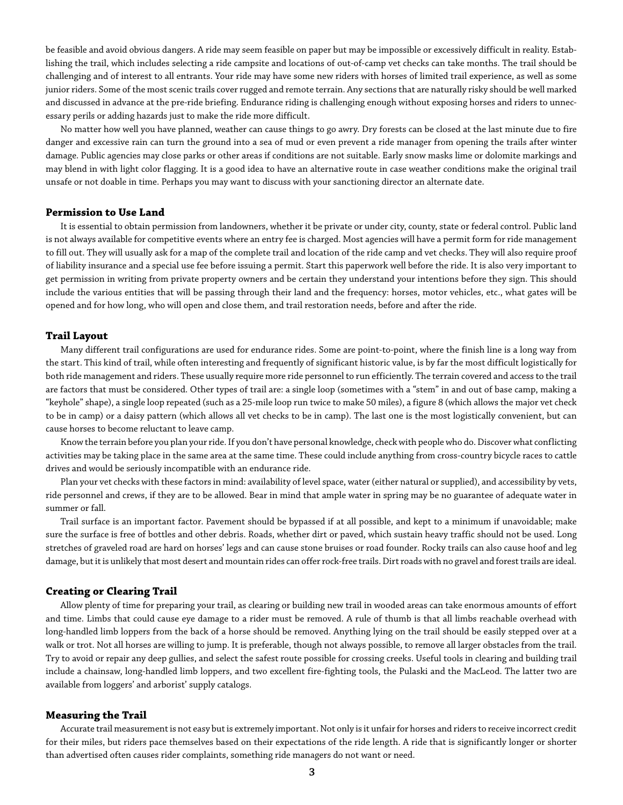be feasible and avoid obvious dangers. A ride may seem feasible on paper but may be impossible or excessively difficult in reality. Establishing the trail, which includes selecting a ride campsite and locations of out-of-camp vet checks can take months. The trail should be challenging and of interest to all entrants. Your ride may have some new riders with horses of limited trail experience, as well as some junior riders. Some of the most scenic trails cover rugged and remote terrain. Any sections that are naturally risky should be well marked and discussed in advance at the pre-ride briefing. Endurance riding is challenging enough without exposing horses and riders to unnecessary perils or adding hazards just to make the ride more difficult.

No matter how well you have planned, weather can cause things to go awry. Dry forests can be closed at the last minute due to fire danger and excessive rain can turn the ground into a sea of mud or even prevent a ride manager from opening the trails after winter damage. Public agencies may close parks or other areas if conditions are not suitable. Early snow masks lime or dolomite markings and may blend in with light color flagging. It is a good idea to have an alternative route in case weather conditions make the original trail unsafe or not doable in time. Perhaps you may want to discuss with your sanctioning director an alternate date.

## **Permission to Use Land**

It is essential to obtain permission from landowners, whether it be private or under city, county, state or federal control. Public land is not always available for competitive events where an entry fee is charged. Most agencies will have a permit form for ride management to fill out. They will usually ask for a map of the complete trail and location of the ride camp and vet checks. They will also require proof of liability insurance and a special use fee before issuing a permit. Start this paperwork well before the ride. It is also very important to get permission in writing from private property owners and be certain they understand your intentions before they sign. This should include the various entities that will be passing through their land and the frequency: horses, motor vehicles, etc., what gates will be opened and for how long, who will open and close them, and trail restoration needs, before and after the ride.

## **Trail Layout**

Many different trail configurations are used for endurance rides. Some are point-to-point, where the finish line is a long way from the start. This kind of trail, while often interesting and frequently of significant historic value, is by far the most difficult logistically for both ride management and riders. These usually require more ride personnel to run efficiently. The terrain covered and access to the trail are factors that must be considered. Other types of trail are: a single loop (sometimes with a "stem" in and out of base camp, making a "keyhole" shape), a single loop repeated (such as a 25-mile loop run twice to make 50 miles), a figure 8 (which allows the major vet check to be in camp) or a daisy pattern (which allows all vet checks to be in camp). The last one is the most logistically convenient, but can cause horses to become reluctant to leave camp.

Know the terrain before you plan your ride. If you don't have personal knowledge, check with people who do. Discover what conflicting activities may be taking place in the same area at the same time. These could include anything from cross-country bicycle races to cattle drives and would be seriously incompatible with an endurance ride.

Plan your vet checks with these factors in mind: availability of level space, water (either natural or supplied), and accessibility by vets, ride personnel and crews, if they are to be allowed. Bear in mind that ample water in spring may be no guarantee of adequate water in summer or fall.

Trail surface is an important factor. Pavement should be bypassed if at all possible, and kept to a minimum if unavoidable; make sure the surface is free of bottles and other debris. Roads, whether dirt or paved, which sustain heavy traffic should not be used. Long stretches of graveled road are hard on horses' legs and can cause stone bruises or road founder. Rocky trails can also cause hoof and leg damage, but it is unlikely that most desert and mountain rides can offer rock-free trails. Dirt roads with no gravel and forest trails are ideal.

## **Creating or Clearing Trail**

Allow plenty of time for preparing your trail, as clearing or building new trail in wooded areas can take enormous amounts of effort and time. Limbs that could cause eye damage to a rider must be removed. A rule of thumb is that all limbs reachable overhead with long-handled limb loppers from the back of a horse should be removed. Anything lying on the trail should be easily stepped over at a walk or trot. Not all horses are willing to jump. It is preferable, though not always possible, to remove all larger obstacles from the trail. Try to avoid or repair any deep gullies, and select the safest route possible for crossing creeks. Useful tools in clearing and building trail include a chainsaw, long-handled limb loppers, and two excellent fire-fighting tools, the Pulaski and the MacLeod. The latter two are available from loggers' and arborist' supply catalogs.

## **Measuring the Trail**

Accurate trail measurement is not easy but is extremely important. Not only is it unfair for horses and riders to receive incorrect credit for their miles, but riders pace themselves based on their expectations of the ride length. A ride that is significantly longer or shorter than advertised often causes rider complaints, something ride managers do not want or need.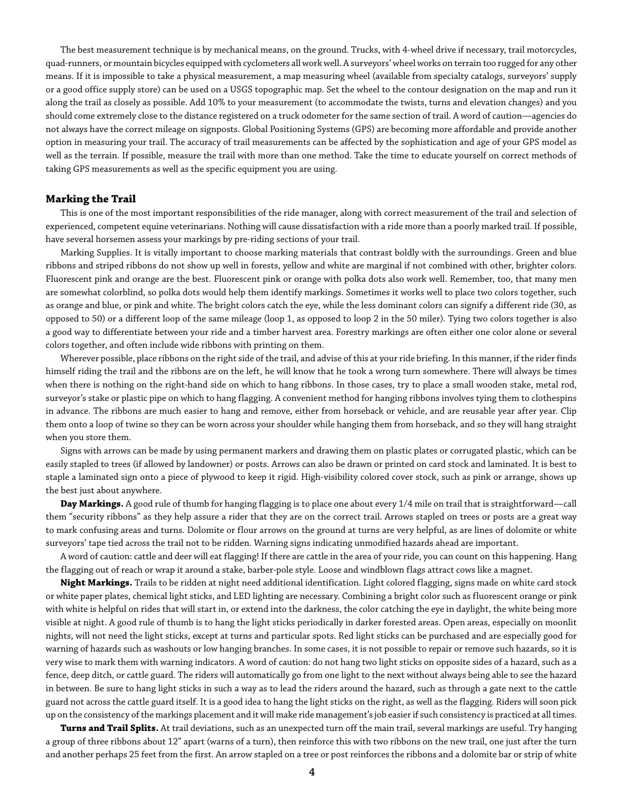The best measurement technique is by mechanical means, on the ground. Trucks, with 4-wheel drive if necessary, trail motorcycles, quad-runners, or mountain bicycles equipped with cyclometers all work well. A surveyors' wheel works on terrain too rugged for any other means. If it is impossible to take a physical measurement, a map measuring wheel (available from specialty catalogs, surveyors' supply or a good office supply store) can be used on a USGS topographic map. Set the wheel to the contour designation on the map and run it along the trail as closely as possible. Add 10% to your measurement (to accommodate the twists, turns and elevation changes) and you should come extremely close to the distance registered on a truck odometer for the same section of trail. A word of caution—agencies do not always have the correct mileage on signposts. Global Positioning Systems (GPS) are becoming more affordable and provide another option in measuring your trail. The accuracy of trail measurements can be affected by the sophistication and age of your GPS model as well as the terrain. If possible, measure the trail with more than one method. Take the time to educate yourself on correct methods of taking GPS measurements as well as the specific equipment you are using.

## **Marking the Trail**

This is one of the most important responsibilities of the ride manager, along with correct measurement of the trail and selection of experienced, competent equine veterinarians. Nothing will cause dissatisfaction with a ride more than a poorly marked trail. If possible, have several horsemen assess your markings by pre-riding sections of your trail.

Marking Supplies. It is vitally important to choose marking materials that contrast boldly with the surroundings. Green and blue ribbons and striped ribbons do not show up well in forests, yellow and white are marginal if not combined with other, brighter colors. Fluorescent pink and orange are the best. Fluorescent pink or orange with polka dots also work well. Remember, too, that many men are somewhat colorblind, so polka dots would help them identify markings. Sometimes it works well to place two colors together, such as orange and blue, or pink and white. The bright colors catch the eye, while the less dominant colors can signify a different ride (30, as opposed to 50) or a different loop of the same mileage (loop 1, as opposed to loop 2 in the 50 miler). Tying two colors together is also a good way to differentiate between your ride and a timber harvest area. Forestry markings are often either one color alone or several colors together, and often include wide ribbons with printing on them.

Wherever possible, place ribbons on the right side of the trail, and advise of this at your ride briefing. In this manner, if the rider finds himself riding the trail and the ribbons are on the left, he will know that he took a wrong turn somewhere. There will always be times when there is nothing on the right-hand side on which to hang ribbons. In those cases, try to place a small wooden stake, metal rod, surveyor's stake or plastic pipe on which to hang flagging. A convenient method for hanging ribbons involves tying them to clothespins in advance. The ribbons are much easier to hang and remove, either from horseback or vehicle, and are reusable year after year. Clip them onto a loop of twine so they can be worn across your shoulder while hanging them from horseback, and so they will hang straight when you store them.

Signs with arrows can be made by using permanent markers and drawing them on plastic plates or corrugated plastic, which can be easily stapled to trees (if allowed by landowner) or posts. Arrows can also be drawn or printed on card stock and laminated. It is best to staple a laminated sign onto a piece of plywood to keep it rigid. High-visibility colored cover stock, such as pink or arrange, shows up the best just about anywhere.

**Day Markings.** A good rule of thumb for hanging flagging is to place one about every 1/4 mile on trail that is straightforward—call them "security ribbons" as they help assure a rider that they are on the correct trail. Arrows stapled on trees or posts are a great way to mark confusing areas and turns. Dolomite or flour arrows on the ground at turns are very helpful, as are lines of dolomite or white surveyors' tape tied across the trail not to be ridden. Warning signs indicating unmodified hazards ahead are important.

A word of caution: cattle and deer will eat flagging! If there are cattle in the area of your ride, you can count on this happening. Hang the flagging out of reach or wrap it around a stake, barber-pole style. Loose and windblown flags attract cows like a magnet.

**Night Markings.** Trails to be ridden at night need additional identification. Light colored flagging, signs made on white card stock or white paper plates, chemical light sticks, and LED lighting are necessary. Combining a bright color such as fluorescent orange or pink with white is helpful on rides that will start in, or extend into the darkness, the color catching the eye in daylight, the white being more visible at night. A good rule of thumb is to hang the light sticks periodically in darker forested areas. Open areas, especially on moonlit nights, will not need the light sticks, except at turns and particular spots. Red light sticks can be purchased and are especially good for warning of hazards such as washouts or low hanging branches. In some cases, it is not possible to repair or remove such hazards, so it is very wise to mark them with warning indicators. A word of caution: do not hang two light sticks on opposite sides of a hazard, such as a fence, deep ditch, or cattle guard. The riders will automatically go from one light to the next without always being able to see the hazard in between. Be sure to hang light sticks in such a way as to lead the riders around the hazard, such as through a gate next to the cattle guard not across the cattle guard itself. It is a good idea to hang the light sticks on the right, as well as the flagging. Riders will soon pick up on the consistency of the markings placement and it will make ride management's job easier if such consistency is practiced at all times.

**Turns and Trail Splits.** At trail deviations, such as an unexpected turn off the main trail, several markings are useful. Try hanging a group of three ribbons about 12" apart (warns of a turn), then reinforce this with two ribbons on the new trail, one just after the turn and another perhaps 25 feet from the first. An arrow stapled on a tree or post reinforces the ribbons and a dolomite bar or strip of white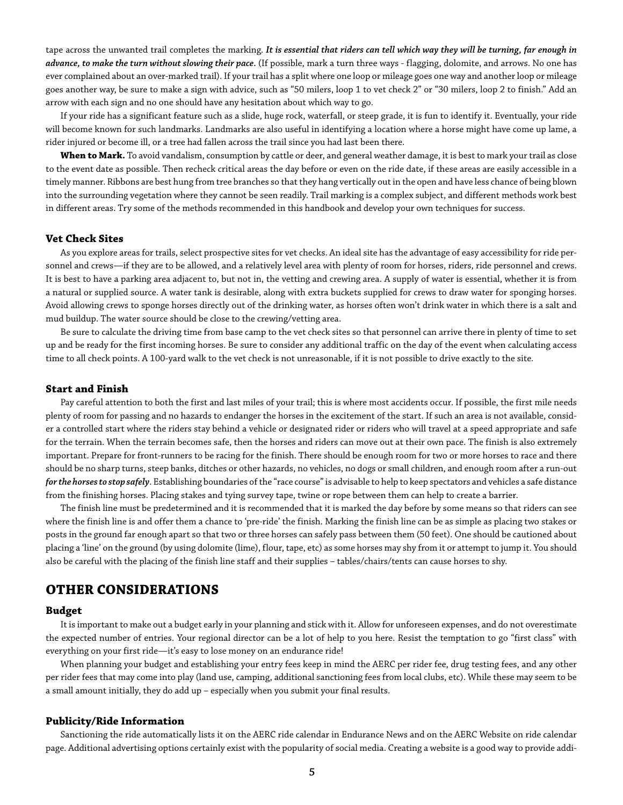tape across the unwanted trail completes the marking. *It is essential that riders can tell which way they will be turning, far enough in advance, to make the turn without slowing their pace.* (If possible, mark a turn three ways - flagging, dolomite, and arrows. No one has ever complained about an over-marked trail). If your trail has a split where one loop or mileage goes one way and another loop or mileage goes another way, be sure to make a sign with advice, such as "50 milers, loop 1 to vet check 2" or "30 milers, loop 2 to finish." Add an arrow with each sign and no one should have any hesitation about which way to go.

If your ride has a significant feature such as a slide, huge rock, waterfall, or steep grade, it is fun to identify it. Eventually, your ride will become known for such landmarks. Landmarks are also useful in identifying a location where a horse might have come up lame, a rider injured or become ill, or a tree had fallen across the trail since you had last been there.

**When to Mark.** To avoid vandalism, consumption by cattle or deer, and general weather damage, it is best to mark your trail as close to the event date as possible. Then recheck critical areas the day before or even on the ride date, if these areas are easily accessible in a timely manner. Ribbons are best hung from tree branches so that they hang vertically out in the open and have less chance of being blown into the surrounding vegetation where they cannot be seen readily. Trail marking is a complex subject, and different methods work best in different areas. Try some of the methods recommended in this handbook and develop your own techniques for success.

## **Vet Check Sites**

As you explore areas for trails, select prospective sites for vet checks. An ideal site has the advantage of easy accessibility for ride personnel and crews—if they are to be allowed, and a relatively level area with plenty of room for horses, riders, ride personnel and crews. It is best to have a parking area adjacent to, but not in, the vetting and crewing area. A supply of water is essential, whether it is from a natural or supplied source. A water tank is desirable, along with extra buckets supplied for crews to draw water for sponging horses. Avoid allowing crews to sponge horses directly out of the drinking water, as horses often won't drink water in which there is a salt and mud buildup. The water source should be close to the crewing/vetting area.

Be sure to calculate the driving time from base camp to the vet check sites so that personnel can arrive there in plenty of time to set up and be ready for the first incoming horses. Be sure to consider any additional traffic on the day of the event when calculating access time to all check points. A 100-yard walk to the vet check is not unreasonable, if it is not possible to drive exactly to the site.

#### **Start and Finish**

Pay careful attention to both the first and last miles of your trail; this is where most accidents occur. If possible, the first mile needs plenty of room for passing and no hazards to endanger the horses in the excitement of the start. If such an area is not available, consider a controlled start where the riders stay behind a vehicle or designated rider or riders who will travel at a speed appropriate and safe for the terrain. When the terrain becomes safe, then the horses and riders can move out at their own pace. The finish is also extremely important. Prepare for front-runners to be racing for the finish. There should be enough room for two or more horses to race and there should be no sharp turns, steep banks, ditches or other hazards, no vehicles, no dogs or small children, and enough room after a run-out *for the horses to stop safely*. Establishing boundaries of the "race course" is advisable to help to keep spectators and vehicles a safe distance from the finishing horses. Placing stakes and tying survey tape, twine or rope between them can help to create a barrier.

The finish line must be predetermined and it is recommended that it is marked the day before by some means so that riders can see where the finish line is and offer them a chance to 'pre-ride' the finish. Marking the finish line can be as simple as placing two stakes or posts in the ground far enough apart so that two or three horses can safely pass between them (50 feet). One should be cautioned about placing a 'line' on the ground (by using dolomite (lime), flour, tape, etc) as some horses may shy from it or attempt to jump it. You should also be careful with the placing of the finish line staff and their supplies – tables/chairs/tents can cause horses to shy.

## **OTHER CONSIDERATIONS**

## **Budget**

It is important to make out a budget early in your planning and stick with it. Allow for unforeseen expenses, and do not overestimate the expected number of entries. Your regional director can be a lot of help to you here. Resist the temptation to go "first class" with everything on your first ride—it's easy to lose money on an endurance ride!

When planning your budget and establishing your entry fees keep in mind the AERC per rider fee, drug testing fees, and any other per rider fees that may come into play (land use, camping, additional sanctioning fees from local clubs, etc). While these may seem to be a small amount initially, they do add up – especially when you submit your final results.

## **Publicity/Ride Information**

Sanctioning the ride automatically lists it on the AERC ride calendar in Endurance News and on the AERC Website on ride calendar page. Additional advertising options certainly exist with the popularity of social media. Creating a website is a good way to provide addi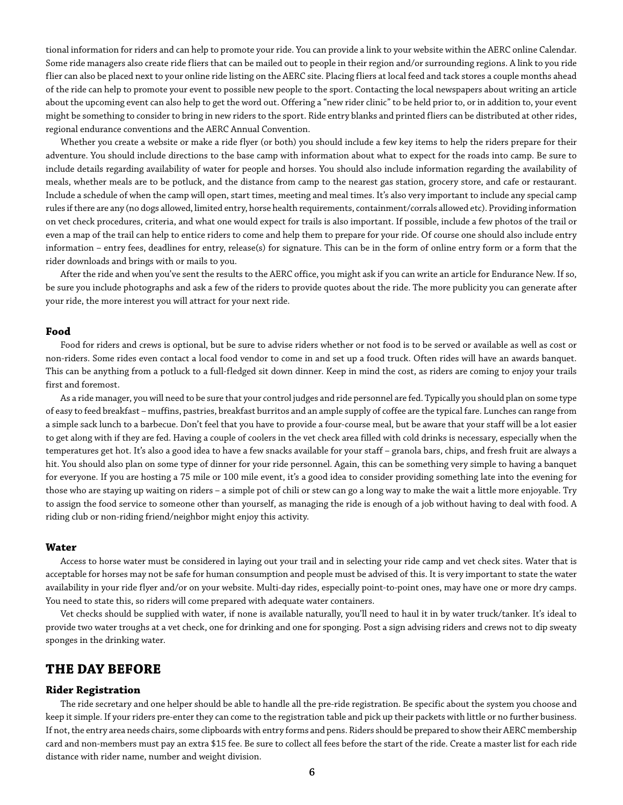tional information for riders and can help to promote your ride. You can provide a link to your website within the AERC online Calendar. Some ride managers also create ride fliers that can be mailed out to people in their region and/or surrounding regions. A link to you ride flier can also be placed next to your online ride listing on the AERC site. Placing fliers at local feed and tack stores a couple months ahead of the ride can help to promote your event to possible new people to the sport. Contacting the local newspapers about writing an article about the upcoming event can also help to get the word out. Offering a "new rider clinic" to be held prior to, or in addition to, your event might be something to consider to bring in new riders to the sport. Ride entry blanks and printed fliers can be distributed at other rides, regional endurance conventions and the AERC Annual Convention.

Whether you create a website or make a ride flyer (or both) you should include a few key items to help the riders prepare for their adventure. You should include directions to the base camp with information about what to expect for the roads into camp. Be sure to include details regarding availability of water for people and horses. You should also include information regarding the availability of meals, whether meals are to be potluck, and the distance from camp to the nearest gas station, grocery store, and cafe or restaurant. Include a schedule of when the camp will open, start times, meeting and meal times. It's also very important to include any special camp rules if there are any (no dogs allowed, limited entry, horse health requirements, containment/corrals allowed etc). Providing information on vet check procedures, criteria, and what one would expect for trails is also important. If possible, include a few photos of the trail or even a map of the trail can help to entice riders to come and help them to prepare for your ride. Of course one should also include entry information – entry fees, deadlines for entry, release(s) for signature. This can be in the form of online entry form or a form that the rider downloads and brings with or mails to you.

After the ride and when you've sent the results to the AERC office, you might ask if you can write an article for Endurance New. If so, be sure you include photographs and ask a few of the riders to provide quotes about the ride. The more publicity you can generate after your ride, the more interest you will attract for your next ride.

## **Food**

Food for riders and crews is optional, but be sure to advise riders whether or not food is to be served or available as well as cost or non-riders. Some rides even contact a local food vendor to come in and set up a food truck. Often rides will have an awards banquet. This can be anything from a potluck to a full-fledged sit down dinner. Keep in mind the cost, as riders are coming to enjoy your trails first and foremost.

As a ride manager, you will need to be sure that your control judges and ride personnel are fed. Typically you should plan on some type of easy to feed breakfast – muffins, pastries, breakfast burritos and an ample supply of coffee are the typical fare. Lunches can range from a simple sack lunch to a barbecue. Don't feel that you have to provide a four-course meal, but be aware that your staff will be a lot easier to get along with if they are fed. Having a couple of coolers in the vet check area filled with cold drinks is necessary, especially when the temperatures get hot. It's also a good idea to have a few snacks available for your staff – granola bars, chips, and fresh fruit are always a hit. You should also plan on some type of dinner for your ride personnel. Again, this can be something very simple to having a banquet for everyone. If you are hosting a 75 mile or 100 mile event, it's a good idea to consider providing something late into the evening for those who are staying up waiting on riders – a simple pot of chili or stew can go a long way to make the wait a little more enjoyable. Try to assign the food service to someone other than yourself, as managing the ride is enough of a job without having to deal with food. A riding club or non-riding friend/neighbor might enjoy this activity.

## **Water**

Access to horse water must be considered in laying out your trail and in selecting your ride camp and vet check sites. Water that is acceptable for horses may not be safe for human consumption and people must be advised of this. It is very important to state the water availability in your ride flyer and/or on your website. Multi-day rides, especially point-to-point ones, may have one or more dry camps. You need to state this, so riders will come prepared with adequate water containers.

Vet checks should be supplied with water, if none is available naturally, you'll need to haul it in by water truck/tanker. It's ideal to provide two water troughs at a vet check, one for drinking and one for sponging. Post a sign advising riders and crews not to dip sweaty sponges in the drinking water.

## **THE DAY BEFORE**

## **Rider Registration**

The ride secretary and one helper should be able to handle all the pre-ride registration. Be specific about the system you choose and keep it simple. If your riders pre-enter they can come to the registration table and pick up their packets with little or no further business. If not, the entry area needs chairs, some clipboards with entry forms and pens. Riders should be prepared to show their AERC membership card and non-members must pay an extra \$15 fee. Be sure to collect all fees before the start of the ride. Create a master list for each ride distance with rider name, number and weight division.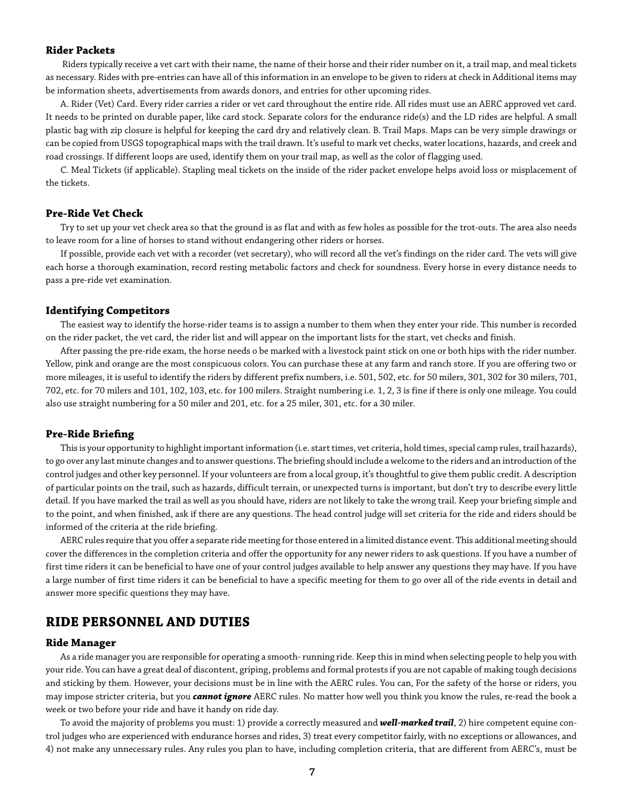## **Rider Packets**

 Riders typically receive a vet cart with their name, the name of their horse and their rider number on it, a trail map, and meal tickets as necessary. Rides with pre-entries can have all of this information in an envelope to be given to riders at check in Additional items may be information sheets, advertisements from awards donors, and entries for other upcoming rides.

A. Rider (Vet) Card. Every rider carries a rider or vet card throughout the entire ride. All rides must use an AERC approved vet card. It needs to be printed on durable paper, like card stock. Separate colors for the endurance ride(s) and the LD rides are helpful. A small plastic bag with zip closure is helpful for keeping the card dry and relatively clean. B. Trail Maps. Maps can be very simple drawings or can be copied from USGS topographical maps with the trail drawn. It's useful to mark vet checks, water locations, hazards, and creek and road crossings. If different loops are used, identify them on your trail map, as well as the color of flagging used.

C. Meal Tickets (if applicable). Stapling meal tickets on the inside of the rider packet envelope helps avoid loss or misplacement of the tickets.

#### **Pre-Ride Vet Check**

Try to set up your vet check area so that the ground is as flat and with as few holes as possible for the trot-outs. The area also needs to leave room for a line of horses to stand without endangering other riders or horses.

If possible, provide each vet with a recorder (vet secretary), who will record all the vet's findings on the rider card. The vets will give each horse a thorough examination, record resting metabolic factors and check for soundness. Every horse in every distance needs to pass a pre-ride vet examination.

## **Identifying Competitors**

The easiest way to identify the horse-rider teams is to assign a number to them when they enter your ride. This number is recorded on the rider packet, the vet card, the rider list and will appear on the important lists for the start, vet checks and finish.

After passing the pre-ride exam, the horse needs o be marked with a livestock paint stick on one or both hips with the rider number. Yellow, pink and orange are the most conspicuous colors. You can purchase these at any farm and ranch store. If you are offering two or more mileages, it is useful to identify the riders by different prefix numbers, i.e. 501, 502, etc. for 50 milers, 301, 302 for 30 milers, 701, 702, etc. for 70 milers and 101, 102, 103, etc. for 100 milers. Straight numbering i.e. 1, 2, 3 is fine if there is only one mileage. You could also use straight numbering for a 50 miler and 201, etc. for a 25 miler, 301, etc. for a 30 miler.

## **Pre-Ride Briefing**

This is your opportunity to highlight important information (i.e. start times, vet criteria, hold times, special camp rules, trail hazards), to go over any last minute changes and to answer questions. The briefing should include a welcome to the riders and an introduction of the control judges and other key personnel. If your volunteers are from a local group, it's thoughtful to give them public credit. A description of particular points on the trail, such as hazards, difficult terrain, or unexpected turns is important, but don't try to describe every little detail. If you have marked the trail as well as you should have, riders are not likely to take the wrong trail. Keep your briefing simple and to the point, and when finished, ask if there are any questions. The head control judge will set criteria for the ride and riders should be informed of the criteria at the ride briefing.

AERC rules require that you offer a separate ride meeting for those entered in a limited distance event. This additional meeting should cover the differences in the completion criteria and offer the opportunity for any newer riders to ask questions. If you have a number of first time riders it can be beneficial to have one of your control judges available to help answer any questions they may have. If you have a large number of first time riders it can be beneficial to have a specific meeting for them to go over all of the ride events in detail and answer more specific questions they may have.

## **RIDE PERSONNEL AND DUTIES**

## **Ride Manager**

As a ride manager you are responsible for operating a smooth- running ride. Keep this in mind when selecting people to help you with your ride. You can have a great deal of discontent, griping, problems and formal protests if you are not capable of making tough decisions and sticking by them. However, your decisions must be in line with the AERC rules. You can, For the safety of the horse or riders, you may impose stricter criteria, but you *cannot ignore* AERC rules. No matter how well you think you know the rules, re-read the book a week or two before your ride and have it handy on ride day.

To avoid the majority of problems you must: 1) provide a correctly measured and *well-marked trail*, 2) hire competent equine control judges who are experienced with endurance horses and rides, 3) treat every competitor fairly, with no exceptions or allowances, and 4) not make any unnecessary rules. Any rules you plan to have, including completion criteria, that are different from AERC's, must be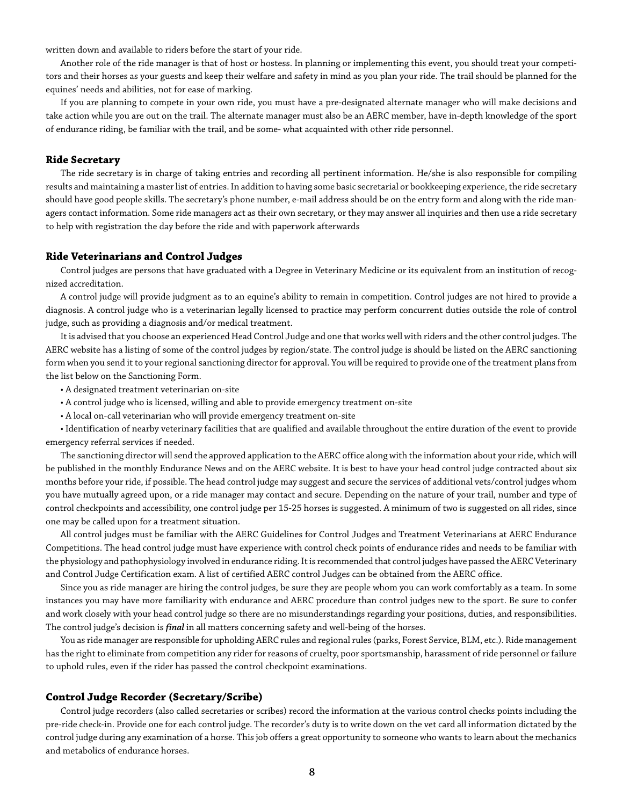written down and available to riders before the start of your ride.

Another role of the ride manager is that of host or hostess. In planning or implementing this event, you should treat your competitors and their horses as your guests and keep their welfare and safety in mind as you plan your ride. The trail should be planned for the equines' needs and abilities, not for ease of marking.

If you are planning to compete in your own ride, you must have a pre-designated alternate manager who will make decisions and take action while you are out on the trail. The alternate manager must also be an AERC member, have in-depth knowledge of the sport of endurance riding, be familiar with the trail, and be some- what acquainted with other ride personnel.

## **Ride Secretary**

The ride secretary is in charge of taking entries and recording all pertinent information. He/she is also responsible for compiling results and maintaining a master list of entries. In addition to having some basic secretarial or bookkeeping experience, the ride secretary should have good people skills. The secretary's phone number, e-mail address should be on the entry form and along with the ride managers contact information. Some ride managers act as their own secretary, or they may answer all inquiries and then use a ride secretary to help with registration the day before the ride and with paperwork afterwards

## **Ride Veterinarians and Control Judges**

Control judges are persons that have graduated with a Degree in Veterinary Medicine or its equivalent from an institution of recognized accreditation.

A control judge will provide judgment as to an equine's ability to remain in competition. Control judges are not hired to provide a diagnosis. A control judge who is a veterinarian legally licensed to practice may perform concurrent duties outside the role of control judge, such as providing a diagnosis and/or medical treatment.

It is advised that you choose an experienced Head Control Judge and one that works well with riders and the other control judges. The AERC website has a listing of some of the control judges by region/state. The control judge is should be listed on the AERC sanctioning form when you send it to your regional sanctioning director for approval. You will be required to provide one of the treatment plans from the list below on the Sanctioning Form.

- A designated treatment veterinarian on-site
- A control judge who is licensed, willing and able to provide emergency treatment on-site
- A local on-call veterinarian who will provide emergency treatment on-site

• Identification of nearby veterinary facilities that are qualified and available throughout the entire duration of the event to provide emergency referral services if needed.

The sanctioning director will send the approved application to the AERC office along with the information about your ride, which will be published in the monthly Endurance News and on the AERC website. It is best to have your head control judge contracted about six months before your ride, if possible. The head control judge may suggest and secure the services of additional vets/control judges whom you have mutually agreed upon, or a ride manager may contact and secure. Depending on the nature of your trail, number and type of control checkpoints and accessibility, one control judge per 15-25 horses is suggested. A minimum of two is suggested on all rides, since one may be called upon for a treatment situation.

All control judges must be familiar with the AERC Guidelines for Control Judges and Treatment Veterinarians at AERC Endurance Competitions. The head control judge must have experience with control check points of endurance rides and needs to be familiar with the physiology and pathophysiology involved in endurance riding. It is recommended that control judges have passed the AERC Veterinary and Control Judge Certification exam. A list of certified AERC control Judges can be obtained from the AERC office.

Since you as ride manager are hiring the control judges, be sure they are people whom you can work comfortably as a team. In some instances you may have more familiarity with endurance and AERC procedure than control judges new to the sport. Be sure to confer and work closely with your head control judge so there are no misunderstandings regarding your positions, duties, and responsibilities. The control judge's decision is *final* in all matters concerning safety and well-being of the horses.

You as ride manager are responsible for upholding AERC rules and regional rules (parks, Forest Service, BLM, etc.). Ride management has the right to eliminate from competition any rider for reasons of cruelty, poor sportsmanship, harassment of ride personnel or failure to uphold rules, even if the rider has passed the control checkpoint examinations.

## **Control Judge Recorder (Secretary/Scribe)**

Control judge recorders (also called secretaries or scribes) record the information at the various control checks points including the pre-ride check-in. Provide one for each control judge. The recorder's duty is to write down on the vet card all information dictated by the control judge during any examination of a horse. This job offers a great opportunity to someone who wants to learn about the mechanics and metabolics of endurance horses.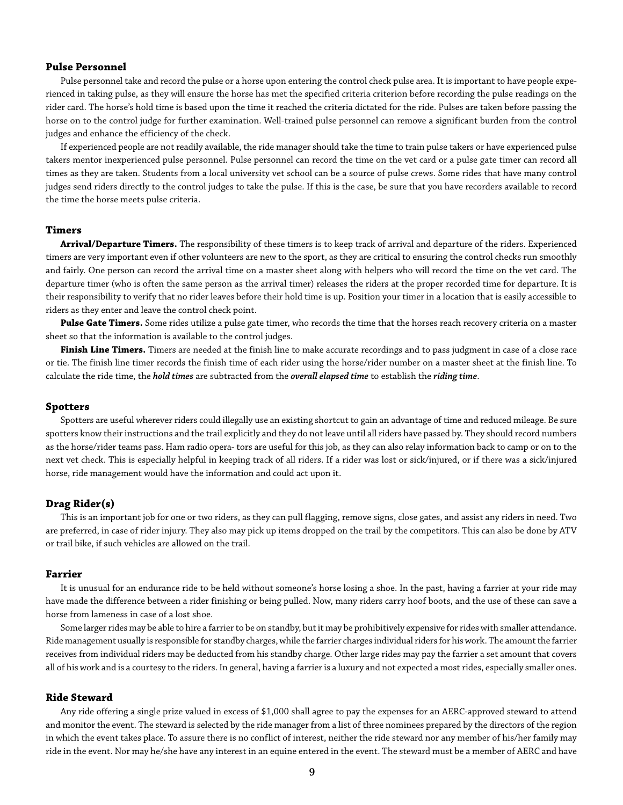## **Pulse Personnel**

Pulse personnel take and record the pulse or a horse upon entering the control check pulse area. It is important to have people experienced in taking pulse, as they will ensure the horse has met the specified criteria criterion before recording the pulse readings on the rider card. The horse's hold time is based upon the time it reached the criteria dictated for the ride. Pulses are taken before passing the horse on to the control judge for further examination. Well-trained pulse personnel can remove a significant burden from the control judges and enhance the efficiency of the check.

If experienced people are not readily available, the ride manager should take the time to train pulse takers or have experienced pulse takers mentor inexperienced pulse personnel. Pulse personnel can record the time on the vet card or a pulse gate timer can record all times as they are taken. Students from a local university vet school can be a source of pulse crews. Some rides that have many control judges send riders directly to the control judges to take the pulse. If this is the case, be sure that you have recorders available to record the time the horse meets pulse criteria.

## **Timers**

**Arrival/Departure Timers.** The responsibility of these timers is to keep track of arrival and departure of the riders. Experienced timers are very important even if other volunteers are new to the sport, as they are critical to ensuring the control checks run smoothly and fairly. One person can record the arrival time on a master sheet along with helpers who will record the time on the vet card. The departure timer (who is often the same person as the arrival timer) releases the riders at the proper recorded time for departure. It is their responsibility to verify that no rider leaves before their hold time is up. Position your timer in a location that is easily accessible to riders as they enter and leave the control check point.

Pulse Gate Timers. Some rides utilize a pulse gate timer, who records the time that the horses reach recovery criteria on a master sheet so that the information is available to the control judges.

**Finish Line Timers.** Timers are needed at the finish line to make accurate recordings and to pass judgment in case of a close race or tie. The finish line timer records the finish time of each rider using the horse/rider number on a master sheet at the finish line. To calculate the ride time, the *hold times* are subtracted from the *overall elapsed time* to establish the *riding time*.

#### **Spotters**

Spotters are useful wherever riders could illegally use an existing shortcut to gain an advantage of time and reduced mileage. Be sure spotters know their instructions and the trail explicitly and they do not leave until all riders have passed by. They should record numbers as the horse/rider teams pass. Ham radio opera- tors are useful for this job, as they can also relay information back to camp or on to the next vet check. This is especially helpful in keeping track of all riders. If a rider was lost or sick/injured, or if there was a sick/injured horse, ride management would have the information and could act upon it.

## **Drag Rider(s)**

This is an important job for one or two riders, as they can pull flagging, remove signs, close gates, and assist any riders in need. Two are preferred, in case of rider injury. They also may pick up items dropped on the trail by the competitors. This can also be done by ATV or trail bike, if such vehicles are allowed on the trail.

#### **Farrier**

It is unusual for an endurance ride to be held without someone's horse losing a shoe. In the past, having a farrier at your ride may have made the difference between a rider finishing or being pulled. Now, many riders carry hoof boots, and the use of these can save a horse from lameness in case of a lost shoe.

Some larger rides may be able to hire a farrier to be on standby, but it may be prohibitively expensive for rides with smaller attendance. Ride management usually is responsible for standby charges, while the farrier charges individual riders for his work. The amount the farrier receives from individual riders may be deducted from his standby charge. Other large rides may pay the farrier a set amount that covers all of his work and is a courtesy to the riders. In general, having a farrier is a luxury and not expected a most rides, especially smaller ones.

## **Ride Steward**

Any ride offering a single prize valued in excess of \$1,000 shall agree to pay the expenses for an AERC-approved steward to attend and monitor the event. The steward is selected by the ride manager from a list of three nominees prepared by the directors of the region in which the event takes place. To assure there is no conflict of interest, neither the ride steward nor any member of his/her family may ride in the event. Nor may he/she have any interest in an equine entered in the event. The steward must be a member of AERC and have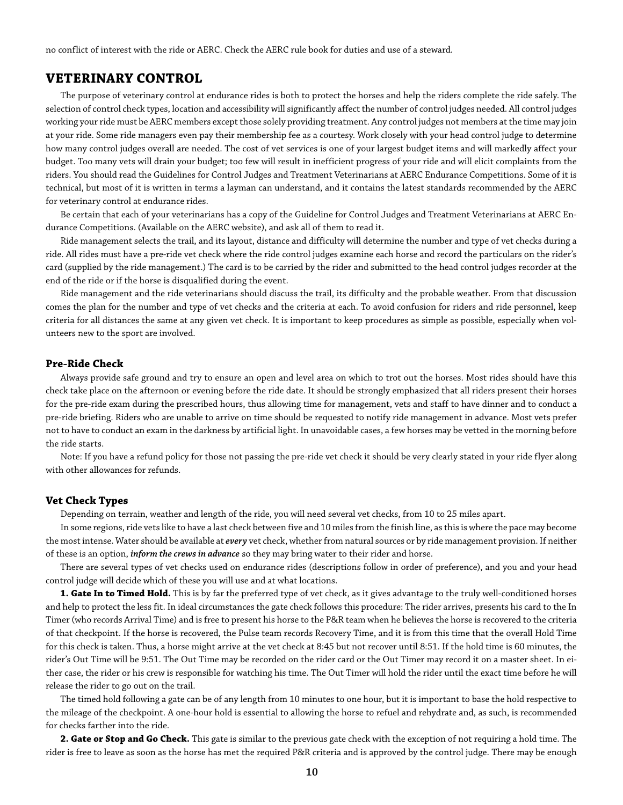no conflict of interest with the ride or AERC. Check the AERC rule book for duties and use of a steward.

## **VETERINARY CONTROL**

The purpose of veterinary control at endurance rides is both to protect the horses and help the riders complete the ride safely. The selection of control check types, location and accessibility will significantly affect the number of control judges needed. All control judges working your ride must be AERC members except those solely providing treatment. Any control judges not members at the time may join at your ride. Some ride managers even pay their membership fee as a courtesy. Work closely with your head control judge to determine how many control judges overall are needed. The cost of vet services is one of your largest budget items and will markedly affect your budget. Too many vets will drain your budget; too few will result in inefficient progress of your ride and will elicit complaints from the riders. You should read the Guidelines for Control Judges and Treatment Veterinarians at AERC Endurance Competitions. Some of it is technical, but most of it is written in terms a layman can understand, and it contains the latest standards recommended by the AERC for veterinary control at endurance rides.

Be certain that each of your veterinarians has a copy of the Guideline for Control Judges and Treatment Veterinarians at AERC Endurance Competitions. (Available on the AERC website), and ask all of them to read it.

Ride management selects the trail, and its layout, distance and difficulty will determine the number and type of vet checks during a ride. All rides must have a pre-ride vet check where the ride control judges examine each horse and record the particulars on the rider's card (supplied by the ride management.) The card is to be carried by the rider and submitted to the head control judges recorder at the end of the ride or if the horse is disqualified during the event.

Ride management and the ride veterinarians should discuss the trail, its difficulty and the probable weather. From that discussion comes the plan for the number and type of vet checks and the criteria at each. To avoid confusion for riders and ride personnel, keep criteria for all distances the same at any given vet check. It is important to keep procedures as simple as possible, especially when volunteers new to the sport are involved.

## **Pre-Ride Check**

Always provide safe ground and try to ensure an open and level area on which to trot out the horses. Most rides should have this check take place on the afternoon or evening before the ride date. It should be strongly emphasized that all riders present their horses for the pre-ride exam during the prescribed hours, thus allowing time for management, vets and staff to have dinner and to conduct a pre-ride briefing. Riders who are unable to arrive on time should be requested to notify ride management in advance. Most vets prefer not to have to conduct an exam in the darkness by artificial light. In unavoidable cases, a few horses may be vetted in the morning before the ride starts.

Note: If you have a refund policy for those not passing the pre-ride vet check it should be very clearly stated in your ride flyer along with other allowances for refunds.

## **Vet Check Types**

Depending on terrain, weather and length of the ride, you will need several vet checks, from 10 to 25 miles apart.

In some regions, ride vets like to have a last check between five and 10 miles from the finish line, as this is where the pace may become the most intense. Water should be available at *every* vet check, whether from natural sources or by ride management provision. If neither of these is an option, *inform the crews in advance* so they may bring water to their rider and horse.

There are several types of vet checks used on endurance rides (descriptions follow in order of preference), and you and your head control judge will decide which of these you will use and at what locations.

**1. Gate In to Timed Hold.** This is by far the preferred type of vet check, as it gives advantage to the truly well-conditioned horses and help to protect the less fit. In ideal circumstances the gate check follows this procedure: The rider arrives, presents his card to the In Timer (who records Arrival Time) and is free to present his horse to the P&R team when he believes the horse is recovered to the criteria of that checkpoint. If the horse is recovered, the Pulse team records Recovery Time, and it is from this time that the overall Hold Time for this check is taken. Thus, a horse might arrive at the vet check at 8:45 but not recover until 8:51. If the hold time is 60 minutes, the rider's Out Time will be 9:51. The Out Time may be recorded on the rider card or the Out Timer may record it on a master sheet. In either case, the rider or his crew is responsible for watching his time. The Out Timer will hold the rider until the exact time before he will release the rider to go out on the trail.

The timed hold following a gate can be of any length from 10 minutes to one hour, but it is important to base the hold respective to the mileage of the checkpoint. A one-hour hold is essential to allowing the horse to refuel and rehydrate and, as such, is recommended for checks farther into the ride.

**2. Gate or Stop and Go Check.** This gate is similar to the previous gate check with the exception of not requiring a hold time. The rider is free to leave as soon as the horse has met the required P&R criteria and is approved by the control judge. There may be enough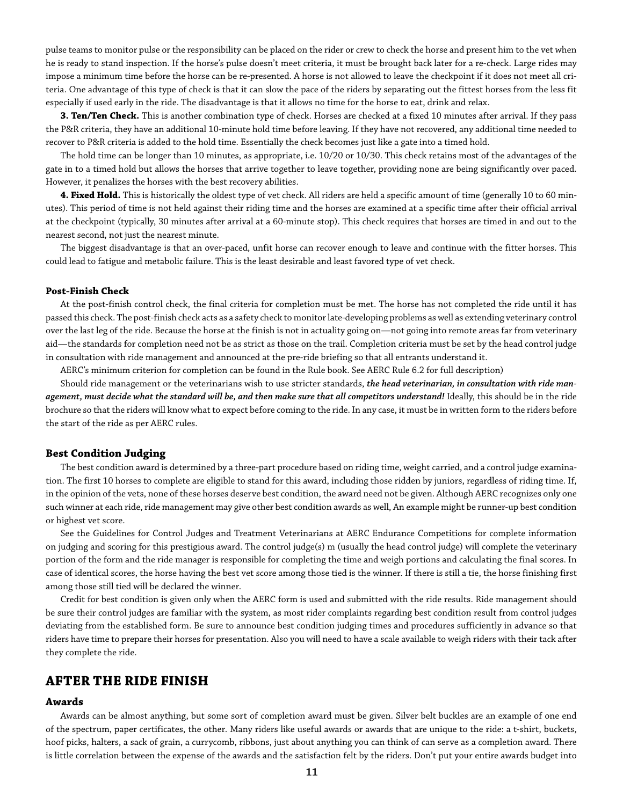pulse teams to monitor pulse or the responsibility can be placed on the rider or crew to check the horse and present him to the vet when he is ready to stand inspection. If the horse's pulse doesn't meet criteria, it must be brought back later for a re-check. Large rides may impose a minimum time before the horse can be re-presented. A horse is not allowed to leave the checkpoint if it does not meet all criteria. One advantage of this type of check is that it can slow the pace of the riders by separating out the fittest horses from the less fit especially if used early in the ride. The disadvantage is that it allows no time for the horse to eat, drink and relax.

**3. Ten/Ten Check.** This is another combination type of check. Horses are checked at a fixed 10 minutes after arrival. If they pass the P&R criteria, they have an additional 10-minute hold time before leaving. If they have not recovered, any additional time needed to recover to P&R criteria is added to the hold time. Essentially the check becomes just like a gate into a timed hold.

The hold time can be longer than 10 minutes, as appropriate, i.e. 10/20 or 10/30. This check retains most of the advantages of the gate in to a timed hold but allows the horses that arrive together to leave together, providing none are being significantly over paced. However, it penalizes the horses with the best recovery abilities.

**4. Fixed Hold.** This is historically the oldest type of vet check. All riders are held a specific amount of time (generally 10 to 60 minutes). This period of time is not held against their riding time and the horses are examined at a specific time after their official arrival at the checkpoint (typically, 30 minutes after arrival at a 60-minute stop). This check requires that horses are timed in and out to the nearest second, not just the nearest minute.

The biggest disadvantage is that an over-paced, unfit horse can recover enough to leave and continue with the fitter horses. This could lead to fatigue and metabolic failure. This is the least desirable and least favored type of vet check.

## **Post-Finish Check**

At the post-finish control check, the final criteria for completion must be met. The horse has not completed the ride until it has passed this check. The post-finish check acts as a safety check to monitor late-developing problems as well as extending veterinary control over the last leg of the ride. Because the horse at the finish is not in actuality going on—not going into remote areas far from veterinary aid—the standards for completion need not be as strict as those on the trail. Completion criteria must be set by the head control judge in consultation with ride management and announced at the pre-ride briefing so that all entrants understand it.

AERC's minimum criterion for completion can be found in the Rule book. See AERC Rule 6.2 for full description)

Should ride management or the veterinarians wish to use stricter standards, *the head veterinarian, in consultation with ride management, must decide what the standard will be, and then make sure that all competitors understand!* Ideally, this should be in the ride brochure so that the riders will know what to expect before coming to the ride. In any case, it must be in written form to the riders before the start of the ride as per AERC rules.

## **Best Condition Judging**

The best condition award is determined by a three-part procedure based on riding time, weight carried, and a control judge examination. The first 10 horses to complete are eligible to stand for this award, including those ridden by juniors, regardless of riding time. If, in the opinion of the vets, none of these horses deserve best condition, the award need not be given. Although AERC recognizes only one such winner at each ride, ride management may give other best condition awards as well, An example might be runner-up best condition or highest vet score.

See the Guidelines for Control Judges and Treatment Veterinarians at AERC Endurance Competitions for complete information on judging and scoring for this prestigious award. The control judge(s) m (usually the head control judge) will complete the veterinary portion of the form and the ride manager is responsible for completing the time and weigh portions and calculating the final scores. In case of identical scores, the horse having the best vet score among those tied is the winner. If there is still a tie, the horse finishing first among those still tied will be declared the winner.

Credit for best condition is given only when the AERC form is used and submitted with the ride results. Ride management should be sure their control judges are familiar with the system, as most rider complaints regarding best condition result from control judges deviating from the established form. Be sure to announce best condition judging times and procedures sufficiently in advance so that riders have time to prepare their horses for presentation. Also you will need to have a scale available to weigh riders with their tack after they complete the ride.

## **AFTER THE RIDE FINISH**

## **Awards**

Awards can be almost anything, but some sort of completion award must be given. Silver belt buckles are an example of one end of the spectrum, paper certificates, the other. Many riders like useful awards or awards that are unique to the ride: a t-shirt, buckets, hoof picks, halters, a sack of grain, a currycomb, ribbons, just about anything you can think of can serve as a completion award. There is little correlation between the expense of the awards and the satisfaction felt by the riders. Don't put your entire awards budget into